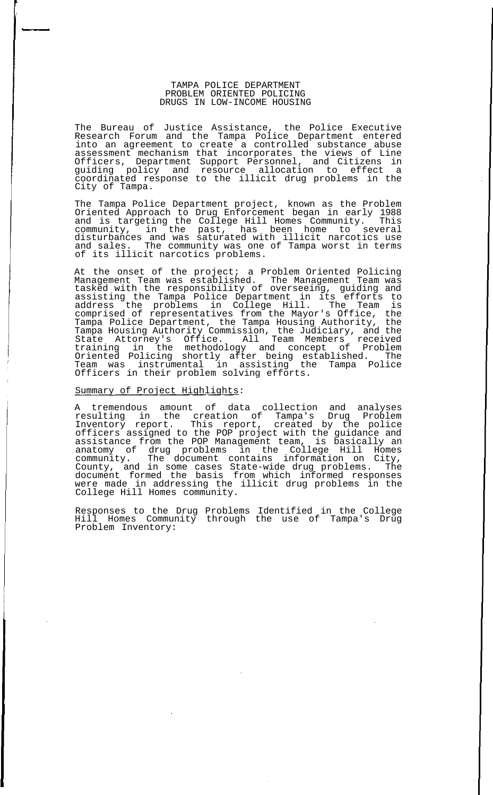## TAMPA POLICE DEPARTMENT PROBLEM ORIENTED POLICING DRUGS IN LOW-INCOME HOUSING

The Bureau of Justice Assistance, the Police Executive Research Forum and the Tampa Police Department entered into an agreement to create a controlled substance abuse assessment mechanism that incorporates the views of Line Officers, Department Support Personnel, and Citizens in guiding policy and resource allocation to effect a coordinated response to the illicit drug problems in the City of Tampa.

The Tampa Police Department project, known as the Problem Oriented Approach to Drug Enforcement began in early 1988 and is targeting the College Hill Homes Community. This community, in the past, has been home to several disturbances and was saturated with illicit narcotics use and sales. The community was one of Tampa worst in terms of its illicit narcotics problems.

At the onset of the project; a Problem Oriented Policing Management Team was established. The Management Team was tasked with the responsibility of overseeing, guiding and assisting the Tampa Police Department in its efforts to address the problems in College Hill. The Team is comprised of representatives from the Mayor's Office, the Tampa Police Department, the Tampa Housing Authority, the Tampa Housing Authority Commission, the Judiciary, and the State Attorney's Office. All Team Members received training in the methodology and concept of Problem Oriented Policing shortly after being established. The Team was instrumental in assisting the Tampa Police Officers in their problem solving efforts.

## Summary of Project Highlights:

A tremendous amount of data collection and analyses resulting in the creation of Tampa's Drug Problem Inventory report. This report, created by the police officers assigned to the POP project with the guidance and assistance from the POP Management team, is basically an anatomy of drug problems in the College Hill Homes community. The document contains information on City, County, and in some cases State-wide drug problems. The document formed the basis from which informed responses were made in addressing the illicit drug problems in the College Hill Homes community.

Responses to the Drug Problems Identified in the College Hill Homes Community through the use of Tampa's Drug Problem Inventory: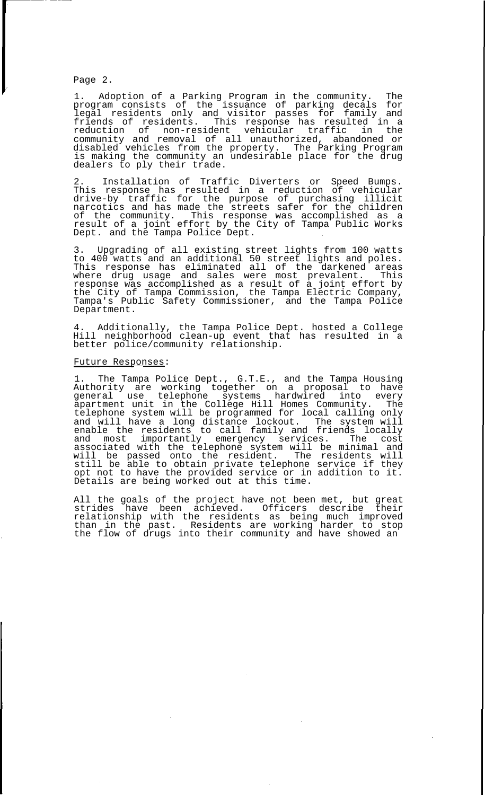Page 2.

1. Adoption of a Parking Program in the community. The program consists of the issuance of parking decals for legal residents only and visitor passes for family and friends of residents. This response has resulted in a reduction of non-resident vehicular traffic in the community and removal of all unauthorized, abandoned or disabled vehicles from the property. The Parking Program is making the community an undesirable place for the drug dealers to ply their trade.

2. Installation of Traffic Diverters or Speed Bumps. This response has resulted in a reduction of vehicular drive-by traffic for the purpose of purchasing illicit narcotics and has made the streets safer for the children of the community. This response was accomplished as a result of a joint effort by the City of Tampa Public Works Dept. and the Tampa Police Dept.

3. Upgrading of all existing street lights from 100 watts to 400 watts and an additional 50 street lights and poles. This response has eliminated all of the darkened areas where drug usage and sales were most prevalent. This response was accomplished as a result of a joint effort by the City of Tampa Commission, the Tampa Electric Company, Tampa's Public Safety Commissioner, and the Tampa Police Department.

4. Additionally, the Tampa Police Dept. hosted a College Hill neighborhood clean-up event that has resulted in a better police/community relationship.

## Future Responses:

1. The Tampa Police Dept., G.T.E., and the Tampa Housing Authority are working together on a proposal to have general use telephone systems hardwired into every apartment unit in the College Hill Homes Community. The telephone system will be programmed for local calling only and will have a long distance lockout. The system will enable the residents to call family and friends locally and most importantly emergency services. The cost associated with the telephone system will be minimal and will be passed onto the resident. The residents will still be able to obtain private telephone service if they opt not to have the provided service or in addition to it. Details are being worked out at this time.

All the goals of the project have not been met, but great<br>strides have been achieved. Officers describe their have been achieved. Officers describe their relationship with the residents as being much improved than in the past. Residents are working harder to stop the flow of drugs into their community and have showed an